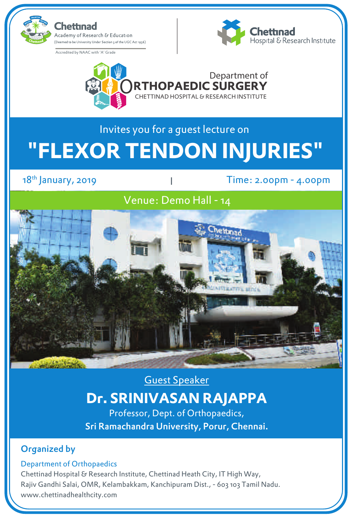



# Invites you for a guest lecture on **"FLEXOR TENDON INJURIES"**

 $18<sup>th</sup>$  January, 2019

Time: 2.00pm - 4.00pm

### Venue: Demo Hall - 14



Guest Speaker

## **Dr. SRINIVASAN RAJAPPA**

Professor, Dept. of Orthopaedics, Sri Ramachandra University, Porur, Chennai.

#### Organized by

#### Department of Orthopaedics

Chettinad Hospital & Research Institute, Chettinad Heath City, IT High Way, Rajiv Gandhi Salai, OMR, Kelambakkam, Kanchipuram Dist., - 603 103 Tamil Nadu. www.chettinadhealthcity.com